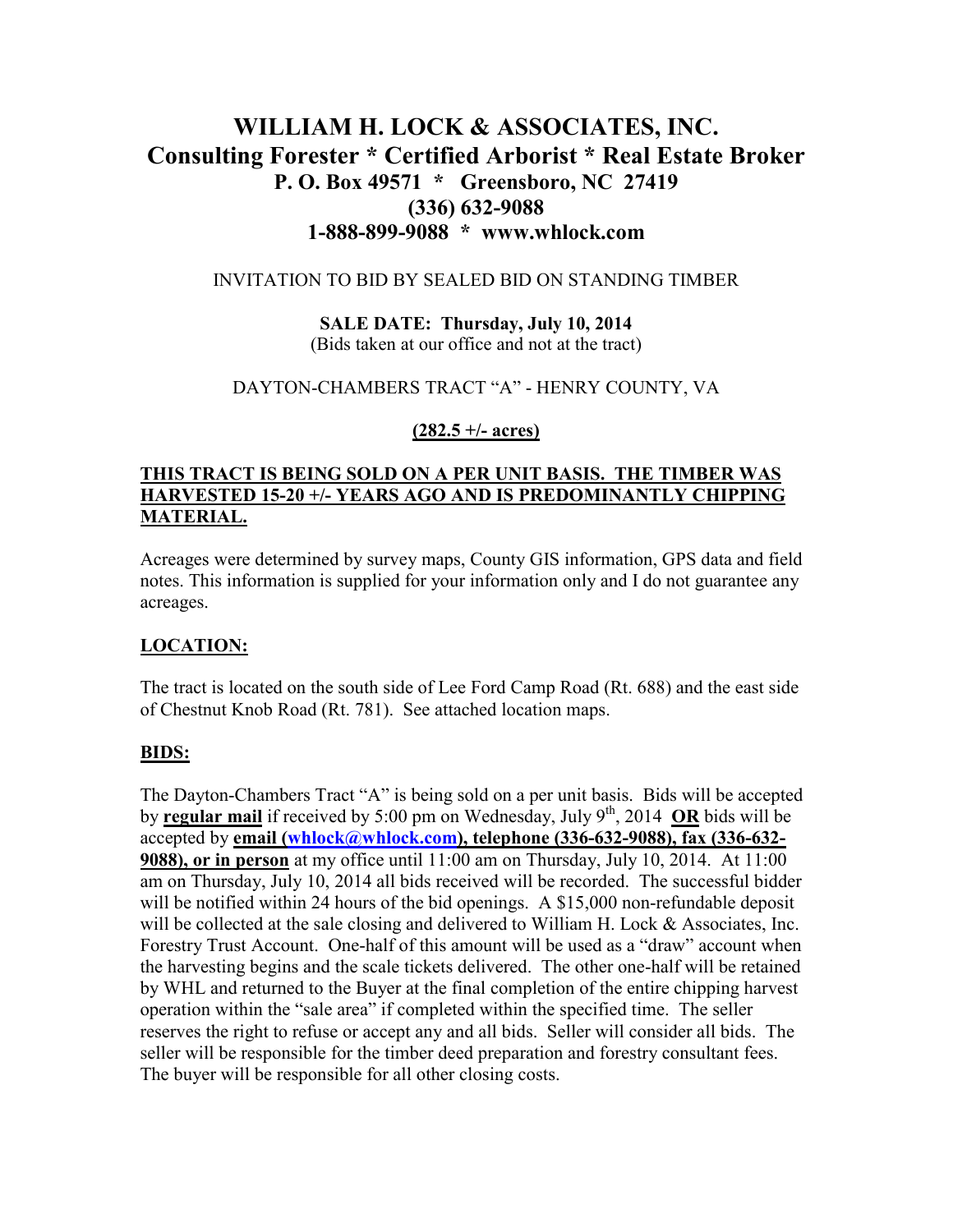# **WILLIAM H. LOCK & ASSOCIATES, INC. Consulting Forester \* Certified Arborist \* Real Estate Broker P. O. Box 49571 \* Greensboro, NC 27419 (336) 632-9088 1-888-899-9088 \* www.whlock.com**

#### INVITATION TO BID BY SEALED BID ON STANDING TIMBER

**SALE DATE: Thursday, July 10, 2014**  (Bids taken at our office and not at the tract)

#### DAYTON-CHAMBERS TRACT "A" - HENRY COUNTY, VA

#### **(282.5 +/- acres)**

# **THIS TRACT IS BEING SOLD ON A PER UNIT BASIS. THE TIMBER WAS HARVESTED 15-20 +/- YEARS AGO AND IS PREDOMINANTLY CHIPPING MATERIAL.**

Acreages were determined by survey maps, County GIS information, GPS data and field notes. This information is supplied for your information only and I do not guarantee any acreages.

### **LOCATION:**

The tract is located on the south side of Lee Ford Camp Road (Rt. 688) and the east side of Chestnut Knob Road (Rt. 781). See attached location maps.

#### **BIDS:**

The Dayton-Chambers Tract "A" is being sold on a per unit basis. Bids will be accepted by **regular mail** if received by 5:00 pm on Wednesday, July 9th, 2014 **OR** bids will be accepted by **email (whlock@whlock.com), telephone (336-632-9088), fax (336-632- 9088), or in person** at my office until 11:00 am on Thursday, July 10, 2014. At 11:00 am on Thursday, July 10, 2014 all bids received will be recorded. The successful bidder will be notified within 24 hours of the bid openings. A \$15,000 non-refundable deposit will be collected at the sale closing and delivered to William H. Lock & Associates, Inc. Forestry Trust Account. One-half of this amount will be used as a "draw" account when the harvesting begins and the scale tickets delivered. The other one-half will be retained by WHL and returned to the Buyer at the final completion of the entire chipping harvest operation within the "sale area" if completed within the specified time. The seller reserves the right to refuse or accept any and all bids. Seller will consider all bids. The seller will be responsible for the timber deed preparation and forestry consultant fees. The buyer will be responsible for all other closing costs.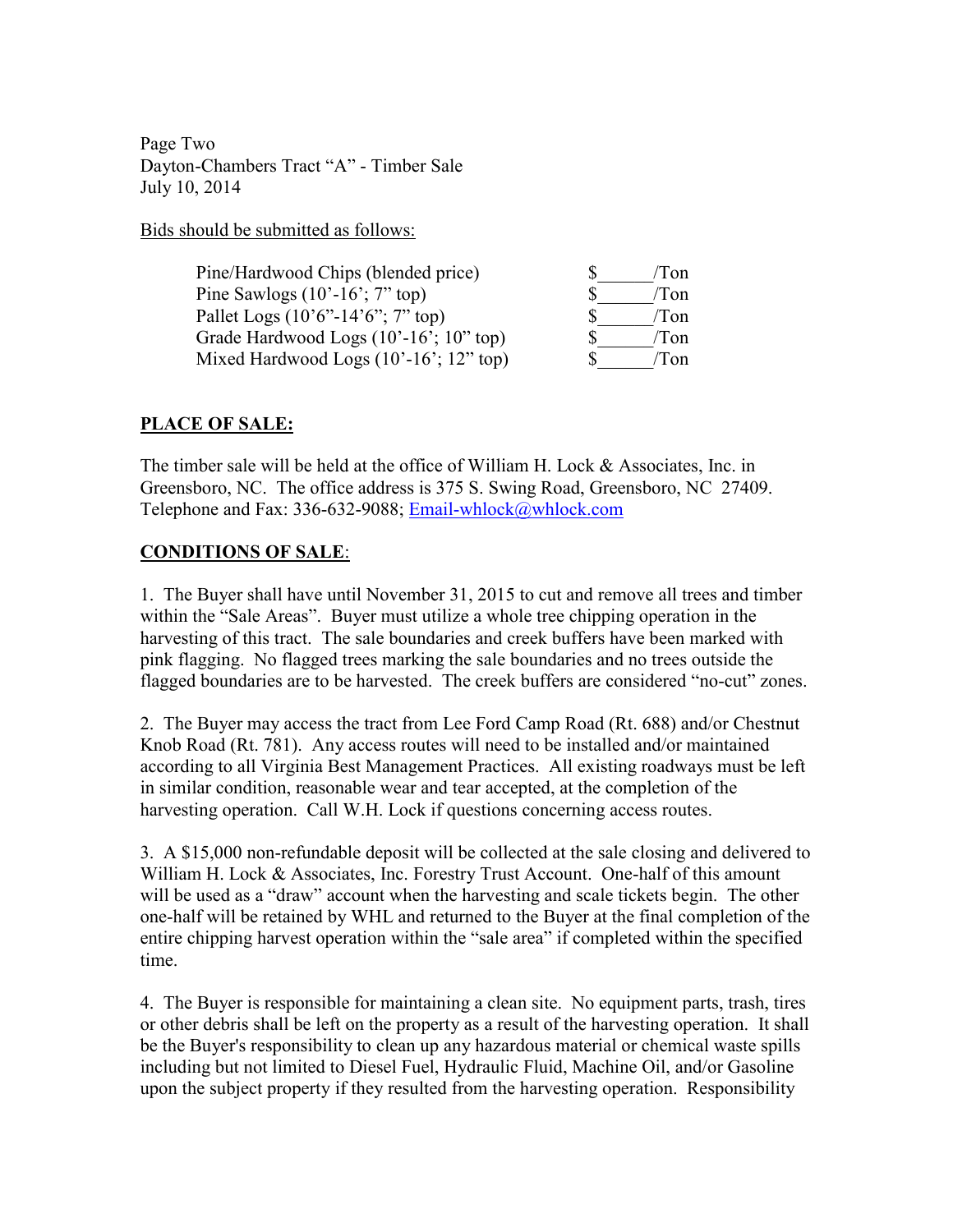Page Two Dayton-Chambers Tract "A" - Timber Sale July 10, 2014

Bids should be submitted as follows:

| Pine/Hardwood Chips (blended price)                                 | Ton  |
|---------------------------------------------------------------------|------|
| Pine Sawlogs $(10'-16)$ ; 7" top)                                   | Ton  |
| Pallet Logs $(10^{\circ}6^{\circ} - 14^{\circ}6^{\circ})$ ; 7" top) | 'Ton |
| Grade Hardwood Logs $(10'-16)$ ; $10''$ top)                        | Ton. |
| Mixed Hardwood Logs $(10'-16'; 12"$ top)                            | Ton  |

# **PLACE OF SALE:**

The timber sale will be held at the office of William H. Lock & Associates, Inc. in Greensboro, NC. The office address is 375 S. Swing Road, Greensboro, NC 27409. Telephone and Fax: 336-632-9088; Email-whlock@whlock.com

# **CONDITIONS OF SALE**:

1. The Buyer shall have until November 31, 2015 to cut and remove all trees and timber within the "Sale Areas". Buyer must utilize a whole tree chipping operation in the harvesting of this tract. The sale boundaries and creek buffers have been marked with pink flagging. No flagged trees marking the sale boundaries and no trees outside the flagged boundaries are to be harvested. The creek buffers are considered "no-cut" zones.

2. The Buyer may access the tract from Lee Ford Camp Road (Rt. 688) and/or Chestnut Knob Road (Rt. 781). Any access routes will need to be installed and/or maintained according to all Virginia Best Management Practices. All existing roadways must be left in similar condition, reasonable wear and tear accepted, at the completion of the harvesting operation. Call W.H. Lock if questions concerning access routes.

3. A \$15,000 non-refundable deposit will be collected at the sale closing and delivered to William H. Lock & Associates, Inc. Forestry Trust Account. One-half of this amount will be used as a "draw" account when the harvesting and scale tickets begin. The other one-half will be retained by WHL and returned to the Buyer at the final completion of the entire chipping harvest operation within the "sale area" if completed within the specified time.

4. The Buyer is responsible for maintaining a clean site. No equipment parts, trash, tires or other debris shall be left on the property as a result of the harvesting operation. It shall be the Buyer's responsibility to clean up any hazardous material or chemical waste spills including but not limited to Diesel Fuel, Hydraulic Fluid, Machine Oil, and/or Gasoline upon the subject property if they resulted from the harvesting operation. Responsibility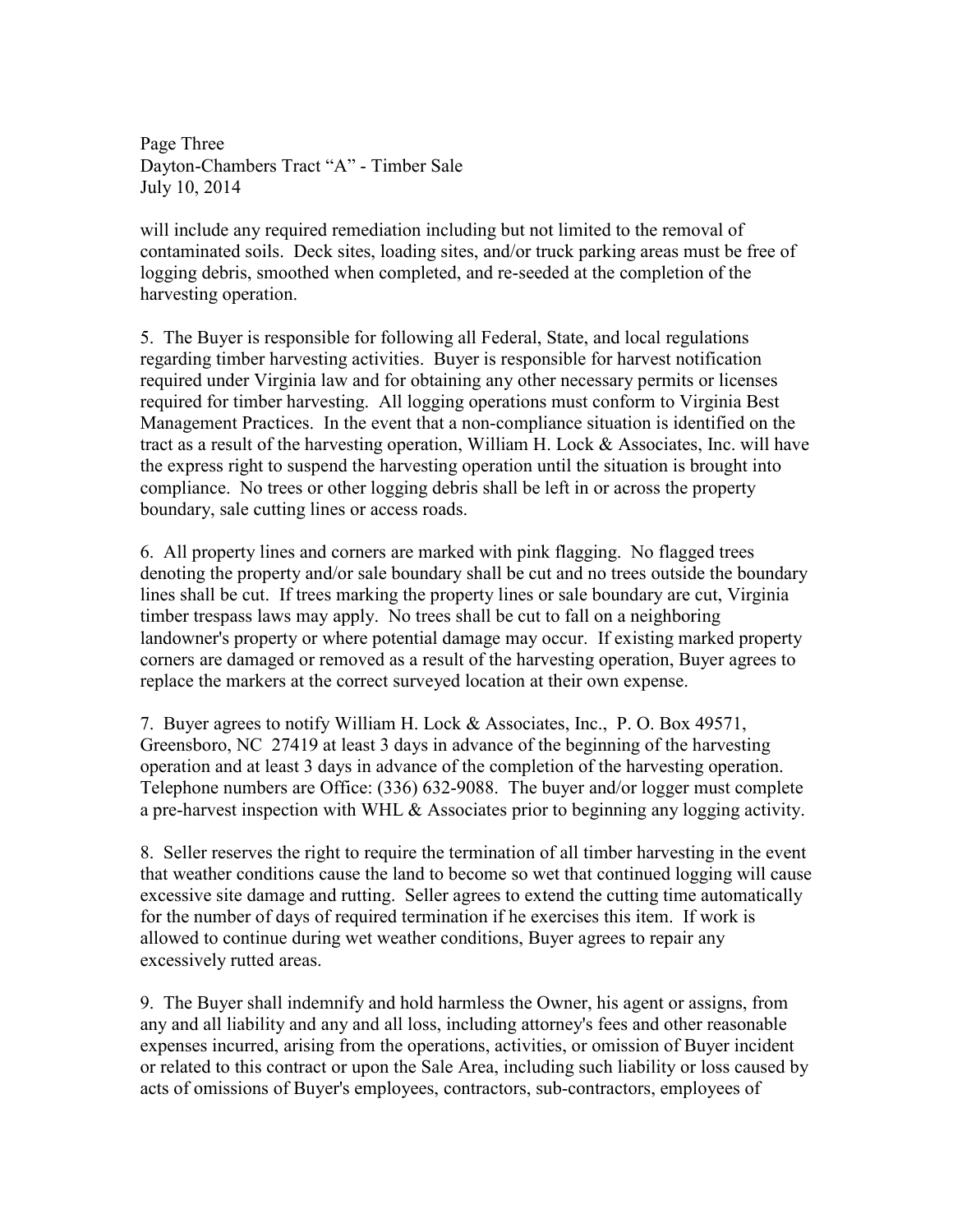Page Three Dayton-Chambers Tract "A" - Timber Sale July 10, 2014

will include any required remediation including but not limited to the removal of contaminated soils. Deck sites, loading sites, and/or truck parking areas must be free of logging debris, smoothed when completed, and re-seeded at the completion of the harvesting operation.

5. The Buyer is responsible for following all Federal, State, and local regulations regarding timber harvesting activities. Buyer is responsible for harvest notification required under Virginia law and for obtaining any other necessary permits or licenses required for timber harvesting. All logging operations must conform to Virginia Best Management Practices. In the event that a non-compliance situation is identified on the tract as a result of the harvesting operation, William H. Lock & Associates, Inc. will have the express right to suspend the harvesting operation until the situation is brought into compliance. No trees or other logging debris shall be left in or across the property boundary, sale cutting lines or access roads.

6. All property lines and corners are marked with pink flagging. No flagged trees denoting the property and/or sale boundary shall be cut and no trees outside the boundary lines shall be cut. If trees marking the property lines or sale boundary are cut, Virginia timber trespass laws may apply. No trees shall be cut to fall on a neighboring landowner's property or where potential damage may occur. If existing marked property corners are damaged or removed as a result of the harvesting operation, Buyer agrees to replace the markers at the correct surveyed location at their own expense.

7. Buyer agrees to notify William H. Lock & Associates, Inc., P. O. Box 49571, Greensboro, NC 27419 at least 3 days in advance of the beginning of the harvesting operation and at least 3 days in advance of the completion of the harvesting operation. Telephone numbers are Office: (336) 632-9088. The buyer and/or logger must complete a pre-harvest inspection with WHL & Associates prior to beginning any logging activity.

8. Seller reserves the right to require the termination of all timber harvesting in the event that weather conditions cause the land to become so wet that continued logging will cause excessive site damage and rutting. Seller agrees to extend the cutting time automatically for the number of days of required termination if he exercises this item. If work is allowed to continue during wet weather conditions, Buyer agrees to repair any excessively rutted areas.

9. The Buyer shall indemnify and hold harmless the Owner, his agent or assigns, from any and all liability and any and all loss, including attorney's fees and other reasonable expenses incurred, arising from the operations, activities, or omission of Buyer incident or related to this contract or upon the Sale Area, including such liability or loss caused by acts of omissions of Buyer's employees, contractors, sub-contractors, employees of